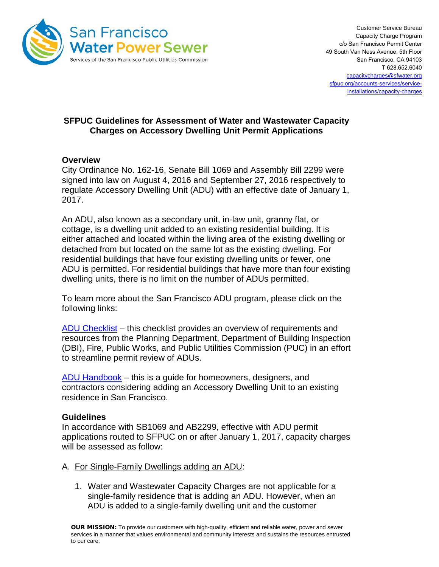

# **SFPUC Guidelines for Assessment of Water and Wastewater Capacity Charges on Accessory Dwelling Unit Permit Applications**

## **Overview**

City Ordinance No. 162-16, Senate Bill 1069 and Assembly Bill 2299 were signed into law on August 4, 2016 and September 27, 2016 respectively to regulate Accessory Dwelling Unit (ADU) with an effective date of January 1, 2017.

An ADU, also known as a secondary unit, in-law unit, granny flat, or cottage, is a dwelling unit added to an existing residential building. It is either attached and located within the living area of the existing dwelling or detached from but located on the same lot as the existing dwelling. For residential buildings that have four existing dwelling units or fewer, one ADU is permitted. For residential buildings that have more than four existing dwelling units, there is no limit on the number of ADUs permitted.

To learn more about the San Francisco ADU program, please click on the following links:

[ADU Checklist](https://sfplanning.org/resource/accessory-dwelling-units-adu-checklists) – this checklist provides an overview of requirements and resources from the Planning Department, Department of Building Inspection (DBI), Fire, Public Works, and Public Utilities Commission (PUC) in an effort to streamline permit review of ADUs.

[ADU Handbook](http://default.sfplanning.org/publications_reports/ADU_Handbook.pdf) – this is a guide for homeowners, designers, and contractors considering adding an Accessory Dwelling Unit to an existing residence in San Francisco.

### **Guidelines**

In accordance with SB1069 and AB2299, effective with ADU permit applications routed to SFPUC on or after January 1, 2017, capacity charges will be assessed as follow:

- A. For Single-Family Dwellings adding an ADU:
	- 1. Water and Wastewater Capacity Charges are not applicable for a single-family residence that is adding an ADU. However, when an ADU is added to a single-family dwelling unit and the customer